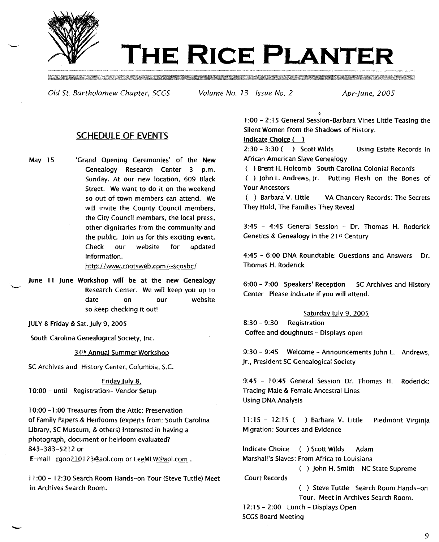

# **THE RICE PLANTER**

Old St. Bartholomew Chapter, *sces* Volume No. <sup>13</sup> Issue NO.2 Apr-june, 2005

# SCHEDULE OF EVENTS

May 15 'Grand Opening Ceremonies' of the New Genealogy Research Center 3 p.m. Sunday. At our new location, 609 Black Street. We want to do it on the weekend so out of town members can attend. We will invite the County Council members, the City Council members, the local press, other dignitaries from the community and the public. Join us for this exciting event. Check our website for updated information.

*http://www.rootsweb.com/~scosbc/*

June 11 June Workshop will be at the new Genealogy Research Center. We will keep you up to date on our website so keep checking it out!

JULY 8 Friday & Sat. July 9, 2005

in Archives Search Room.

-

South Carolina Genealogical Society, Inc.

34th Annual Summer Workshop

SC Archives and History Center, Columbia, S.c.

Friday July 8. 10:00 - until Registration- Vendor Setup

10:00 -1 :00 Treasures from the Attic: Preservation of Family Papers & Heirlooms (experts from: South Carolina Library, SC Museum, & others) Interested in having a photograph, document or heirloom evaluated? 843-383-5212 or E-mail rgoo210173@aol.com or LeeMLW@aol.com.

11:00 - 12:30 Search Room Hands-on Tour (Steve Tuttle) Meet

1:00 - 2: 15 General Session-Barbara Vines Little Teasing the Silent Women from the Shadows of History.

## Indicate Choice ( )

2:30 - 3:30 ( ) Scott Wilds Using Estate Records in African American Slave Genealogy

( ) Brent H. Holcomb South Carolina Colonial Records

( ) John L. Andrews, Jr. Putting Flesh on the Bones of Your Ancestors

( ) Barbara V. Little VA Chancery Records: The Secrets They Hold, The Families They Reveal

3:45 - 4:45 General Session - Dr. Thomas H. Roderick Genetics & Genealogy in the 21<sup>st</sup> Century

4:45 - 6;00 DNA Roundtable: Questions and Answers Dr. Thomas H. Roderick

6:00 - 7:00 Speakers' Reception SC Archives and History Center Please indicate if you will attend.

## Saturday July 9, 2005

8:30 - 9:30 Registration Coffee and doughnuts - Displays open

9:30 - 9:45 Welcome - Announcements John L. Andrews, Jr., President SC Genealogical Society

9:45 - 10:45 General Session Dr. Thomas H. Roderick: Tracing Male & Female Ancestral Lines Using DNA Analysis

11:15 - 12:15 ( ) Barbara V. Little Piedmont Virginia Migration: Sources and Evidence

Indicate ChOice () Scott Wilds Adam Marshall's Slaves: From Africa to Louisiana

) John H. Smith NC State Supreme Court Records

> ) Steve Tuttle Search Room Hands-on Tour. Meet in Archives Search Room.

12:15 - 2:00 Lunch - Displays Open

# SCGS Board Meeting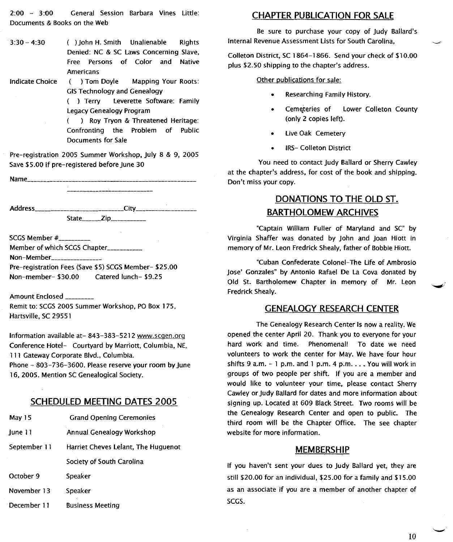2:00 - 3:00 General Session Barbara Vines Little: Documents & Books on the Web

- 3:30 4:30 ( ) John H. Smith Unalienable Rights Denied: NC & SC laws Concerning Slave, Free Persons of Color and Native Americans
- Indicate Choice ( ) Tom Doyle Mapping Your Roots: GISTechnology and Genealogy

( ) Terry Leverette Software: Family Legacy Genealogy Program

( ) Roy Tryon & Threatened Heritage: Confronting the Problem of Public Documents for Sale

Pre-registration 2005 Summer Workshop, July 8 & 9, 2005 Save \$5.00 if pre-registered before June 30

Name\_\_\_\_\_\_\_\_\_\_\_\_

Address City \_ State\_\_\_\_\_\_\_Zip\_\_\_\_\_\_\_\_\_\_\_\_\_

SCGS Member  $#$ <sub>\_\_\_\_\_\_\_\_\_\_</sub> Member of which SCGS Chapter \_\_\_\_\_\_\_\_\_\_

Non-Member

Pre-registration Fees (Save \$5) SCGS Member- \$25.00 Non-member- \$30.00 Catered lunch- \$9.25

Amount Enclosed \_ Remit to: SCGS2005 Summer Workshop, PO Box 175, Hartsville, SC 29551

Information available at- 843-383-5212 www.scaen.ora Conference Hotel- Courtyard by Marriott, Columbia, NE, 111 Gateway Corporate Blvd., Columbia. Phone - 803-736-3600. Please reserve your room by June 16, 2005. Mention SC Genealogical Society.

# **SCHEDULED MEETING DATES 2005**

- May 15 Grand Opening Ceremonies
- June 11 Annual Genealogy Workshop
- September 11 Harriet Cheves Lelant, The Huguenot Society of South Carolina

October 9 Speaker

November 13 Speaker

December 11 Business Meeting

# **CHAPTER PUBLICATION FOR SALE**

Be sure to purchase your copy of Judy Ballard's Internal Revenue Assessment lists for South Carolina,

Colleton District, SC 1864-1866. Send your check of \$10.00 plus \$2.50 shipping to the chapter's address.

Other publications for sale:

- Researching Family History.
- Cemeteries of Lower Colleton County (only 2 copies left).
- Live Oak Cemetery
- **IRS- Colleton District**

You need to contact Judy Ballard or Sherry Cawley at the chapter's address, for cost of the book and shipping. Don't miss your copy.

# **DONATIONS TO THE OLD ST. BARTHOLOMEW ARCHIVES**

"Captain William Fuller of Maryland and SC" by Virginia Shaffer was donated by John and Joan Hiott in memory of Mr. Leon Fredrick Shealy, father of Bobbie Hiott.

"Cuban Confederate Colonel-The Life of AmbroSio Jose' Gonzales" by Antonio Rafael De la Cova donated by Old St. Bartholomew Chapter in memory of Mr. Leon Fredrick Shealy.

## **GENEALOGY RESEARCH CENTER**

The Genealogy Research Center Is now a reality. We opened the center April 20. Thank you to everyone for your hard work and time. Phenomenal! To date we need volunteers to work the center for May. We have four hour shifts 9 a.m.  $-1$  p.m. and 1 p.m. 4 p.m.  $\ldots$  You will work in groups of two people per shift. If you are a member and would like to volunteer your time, please contact Sherry Cawley or Judy Ballard for dates and more information about signing up. Located at 609 Black Street. Two rooms will be the Genealogy Research Center and open to public. The third room will be the Chapter Office. The see chapter website for more information.

## **MEMBERSHIP**

If you haven't sent your dues to Judy Ballard yet, they are still \$20.00 for an individual, \$25.00 for a family and \$15.00 as an associate if you are a member of another chapter of SCGS.

10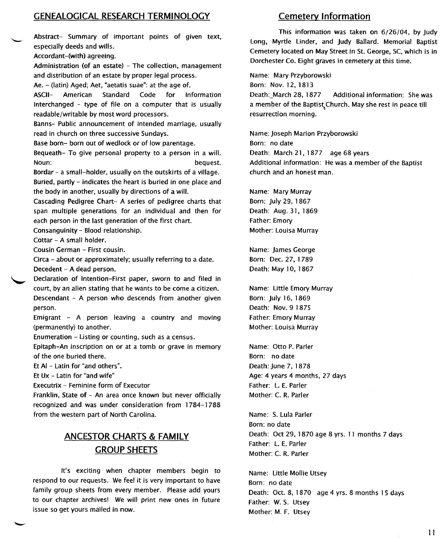# **GENEALOGICAL RESEARCH TERMINOLOGY**

Abstract- Summary of important points of given text, especially deeds and wills.

Accordant-(with) agreeing.

Administration (of an estate) - The collection, management and distribution of an estate by proper legal process.

Ae. - (Iatin) Aged; Aet, "aetatis suae": at the age of.

ASCII- American Standard Code for Information Interchanged - type of file on a computer that is usually readable/writable by most word processors.

Banns- Public announcement of intended marriage, usually read in church on three successive Sundays.

Base born- born out of wedlock or of low parentage.

Bequeath- To give personal property to a person in a will. Noun: bequest.

Bordar - a small-holder, usually on the outskirts of a village. Buried, partly - indicates the heart is buried in one place and the body in another, usually by directions of a will.

Cascading Pedigree Chart- A series of pedigree charts that span multiple generations for an individual and then for each person in the last generation of the first chart.

Consanguinity - Blood relationship.

Cottar - A small holder.

Cousin German - First cousin.

Circa - about or approximately; usually referring to a date. Decedent - A dead person.

Declaration of Intention-First paper, sworn to and filed in court, by an alien stating that he wants to be come a citizen. Descendant - A person who descends from another given

person.

Emigrant - A person leaving a country and moving (permanently) to another.

Enumeration - Listing or counting, such as a census.

Epitaph-An inscription on or at a tomb or grave in memory of the one buried there.

Et AI - Latin for "and others".

Et Ux - Latin for "and wife"

Executrix - Feminine form of Executor

Franklin, State of - An area once known but never officially recognized and was under consideration from 1784-1788 from the western part of North Carolina.

# **ANCESTOR CHARTS & FAMILY GROUP SHEETS**

It's exciting when chapter members begin to respond to our requests. We feel it is very important to have family group sheets from every member. Please add yours to our chapter archives! We will print new ones in future issue so get yours mailed in now.

## **Cemetery Information**

This information was taken on 6/26/04, by Judy Long, Myrtle linder, and Judy Ballard. Memorial Baptist Cemetery located on May Street in St. George. SC,which is in Dorchester Co. Eight graves in cemetery at this time.

Name: Mary Przyborowski

Born: Nov. 12, 1813

Death:\_March 28, 1877 Additional information: She was a member of the Baptist Church. May she rest in peace till resurrection morning.

Name: Joseph Marion Przyborowski Born: no date Death: March 21, 1877 age 68 years Additional information: He was a member of the Baptist church and an honest man.

Name: Mary Murray Born: July 29, 1867 Death: Aug. 31, 1869 Father: Emory Mother: Louisa Murray

Name: James George Born: Dee. 27, 1789 Death: May 10, 1867

Name: Little Emory Murray Born: July 16, 1869 Death: Nov. 9 1875 Father: Emory Murray Mother: Louisa Murray

Name: Otto P. Parler Born: no date Death: June 7, 1878 Age: 4 years 4 months, 27 days Father: L. E. Parler Mother: C. R. Parler

Name: S. Lula Parler Born: no date Death: Oct 29, 1870 age 8 yrs. 11 months 7 days Father: L. E. Parler Mother: C. R. Parler

Name: Little Mollie Utsey Born: no date Death: Oct. 8, 1870 age 4 yrs. 8 months 15 days Father: W. S. Utsey Mother: M. F. Utsey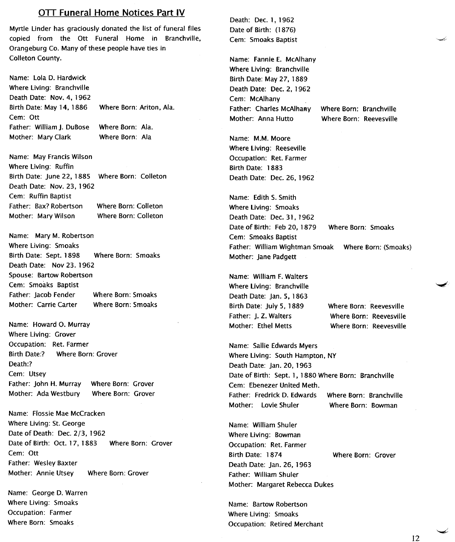## **OTT Funeral Home Notices Part IV**

Myrtle Linder has graciously donated the list of funeral files copied from the Ott Funeral Home in Branchville, Orangeburg Co. Many of these people have ties in Colleton County.

Where Born: Ariton, Ala. Where Born: Ala. Where Born: Ala Name: Lola D. Hardwick Where Living: Branchville Death Date: Nov. 4, 1962 Birth Date: May 14, 1886 Cem: Ott Father: William J. DuBose Mother: Mary Clark

Birth Date: June 22, 1885 Where Born: Colletor Where Born: Colleton Where Born: Colleton Name: May Francis Wilson Where Living: Ruffin Death Date: Nov. 23, 1962 Cem: Ruffin Baptist Father: Bax? Robertson Mother: Mary Wilson

Where Born: Smoaks Where Born: Smoaks Name: Mary M. Robertson Where Living: Smoaks Birth Date: Sept. 1898 Death Date: Nov 23. 1962 Spouse: Bartow Robertson Cem: Smoaks Baptist Father: Jacob Fender Mother: Carrie Carter

Name: Howard O. Murray Where Living: Grover Occupation: Ret. Farmer Birth Date:? Where Born: Grover Death:? Cem: Utsey Father: John H. Murray Where Born: Grover Mother: Ada Westbury Where Born: Grover

Name: Flossie Mae McCracken Where Living: St. George Date of Death: Dee. 2/3, 1962 Date of Birth: Oct. 17, 1883 Where Born: Grover Cem: Ott Father: Wesley Baxter Mother: Annie Utsey Where Born: Grover

Name: George D. Warren Where Living: Smoaks Occupation: Farmer Where Born: Smoaks

Death: Dee. 1, 1962 Date of Birth: (1876) Cem: Smoaks Baptist

Name: Fannie E. McAlhany Where Living: Branchville Birth Date: May 27, 1889 Death Date: Dec. 2, 1962 Cem: McAlhany Father: Charles McAlhany Mother: Anna Hutto

Where Born: Branchville Where Born: Reevesville

Name: M.M. Moore Where Living: Reeseville Occupation: Ret. Farmer Birth Date: 1883 Death Date: Dec. 26, 1962

Name: Edith S. Smith Where Living: Smoaks Death Date: Dec. 31, 1962 Date of Birth: Feb 20, 1879 Where Born: Smoaks Cem: Smoaks Baptist Father: William Wightman Smoak Where Born: (Smoaks) Mother: Jane Padgett

Where Born: Smoaks Birth Date: July 5, 1889 Where Born: Reevesville Name: William F. Walters Where Living: Branchville Death Date: Jan. 5, 1863 Father: J. Z. Walters Mother: Ethel Metts

Where Born: Reevesville Where Born: Reevesville

Name: Sallie Edwards Myers Where living: South Hampton, NY Death Date: Jan. 20, 1963 Date of Birth: Sept. 1, 1880 Where Born: Branchville Cem: Ebenezer United Meth. Father: Fredrick D. Edwards Where Born: Branchville Mother: Lovie Shuler Where Born: Bowman

Name: William Shuler Where Living: Bowman Occupation: Ret. Farmer Birth Date: 1874 Where Born: Grover Death Date: Jan. 26, 1963 Father: William Shuler Mother: Margaret Rebecca Dukes

Name: Bartow Robertson Where Living: Smoaks Occupation: Retired Merchant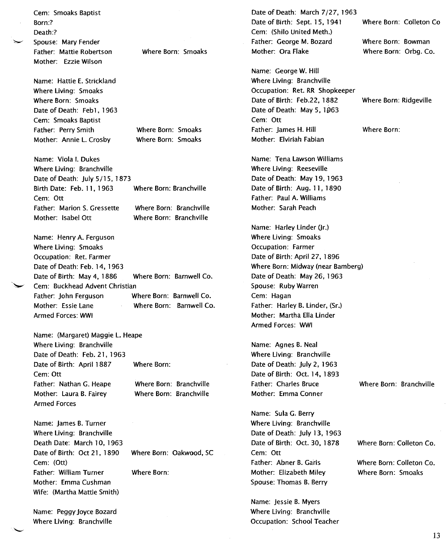Father: Mattie Robertson Where Born: Smoaks Cem: (Shilo United Meth.) Father: George M. Bozard Mother: Ora Flake Name: Hattie E. Strickland Date of Death: Feb1, 1963 Where Born: Smoaks Where Born: Smoaks Name: George W. Hill Cem: Ott Mother: Elviriah Fabian Where Born: Branchville Where Born: Branchville Mother: Sarah Peach Where Living: Smoaks Occupation: Farmer Spouse: Ruby Warren Cem: Hagan Armed Forces: WWI Where Born: Where Born: Branchville Where Born: Branchville Name: Agnes B. Neal Father: Charles Bruce Mother: Emma Conner Name: Sula G. Berry Cem: Ott Father: Abner B. Garis Name: Jessie B. Myers

Date of Death: March 7/27,1963 Date of Birth: Sept. 15, 1941 Where Born: Bowman

Where Living: Branchville Occupation: Ret. RR Shopkeeper Date of Birth: Feb.22, 1882 Where Born: Ridgeville Date of Death: May 5, 1963 Father: James H. Hill Where Born:

Name: Tena Lawson Williams Where Living: Reeseville Date of Death: May 19, 1963 Date of Birth: Aug. 11, 1890 Father: Paul A. Williams

Name: Harley Linder (Jr.) Date of Birth: April 27, 1896 Where Born: Midway (near Bamberg) Date of Death: May 26, 1963 Father: Harley B. Linder, (Sr.) Mother: Martha Ella Linder

Where Living: Branchville Date of Death: July 2, 1963 Date of Birth: Oct. 14, 1893

Where Living: Branchville Date of Death: July 13, 1963 Date of Birth: Oct. 30, 1878 Mother: Elizabeth Miley Spouse: Thomas B. Berry

Where Living: Branchville Occupation: School Teacher Where Born: Colleton Co

Where Born: Orbg. Co.

Where Born: Branchville

Where Born: Colleton Co.

Where Born: Colleton Co. Where Born: Smoaks

Mother: Annie l. Crosby Name: Viola I. Dukes Where Living: Branchville Date of Death: July 5/15,1873 Birth Date: Feb. 11, 1963 Where Born: Branchville Cem: Ott Father: Marion S. Gressette Mother: Isabel Ott

Cem: Smoaks Baptist

Spouse: Mary Fender

Mother: Ezzie Wilson

Where Living: Smoaks Where Born: Smoaks

Cem: Smoaks Baptist Father: Perry Smith

Born:? Death:?

Name: Henry A. Ferguson Where Living: Smoaks Occupation: Ret. Farmer Date of Death: Feb. 14, 1963 Date of Birth: May 4, 1886 Where Born: Barnwell Co. Cem: Buckhead Advent Christian Father: John Ferguson Where Born: Barnwell Co. Mother: Essie Lane Where Born: Barnwell Co. Armed Forces: WWI

Name: (Margaret) Maggie l. Heape Where Living: Branchville Date of Death: Feb. 21, 1963 Date of Birth: April 1887 Cern: Ott Father: Nathan G. Heape Mother: Laura B. Fairey Armed Forces

Name: James B. Turner Where Living: Branchville Death Date: March 10, 1963 Date of Birth: Oct 21, 1890 Where Born: Oakwood, SC Cem: (Ott) Father: William Turner Where Born: Mother: Emma Cushman Wife: (Martha Mattie Smith)

Name: Peggy Joyce Bozard Where Living: Branchville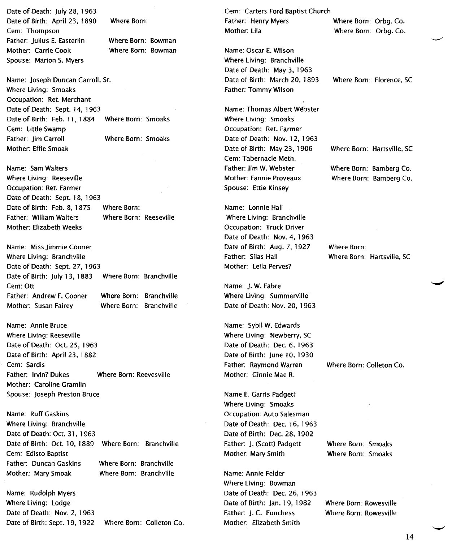Date of Death: July 28, 1963 Date of Birth: April 23, 1890 Cem: Thompson Father: Julius E. Easterlin Mother: Carrie Cook Spouse: Marion S. Myers

Where Born:

Where Born: Bowman Where Born: Bowman

Name: Joseph Duncan Carroll, Sr. Where Living: Smoaks Occupation: Ret. Merchant Date of Death: Sept. 14, 1963 Date of Birth: Feb. 11, 1884 Where Born: Smoaks Cem: little Swamp Father: Jim Carroll Where Born: Smoaks Mother: Effie Smoak

Name: Sam Walters Where Living: Reeseville Occupation: Ret. Farmer Date of Death: Sept. 18, 1963 Date of Birth: Feb. 8, 1875 Where Born: Father: William Walters Where Born: Reeseville Mother: Elizabeth Weeks

Where Born: Branchville Where Born: Branchville Where Born: Branchville Name: Miss Jimmie Cooner Where living: Branchville Date of Death: Sept. 27, 1963 Date of Birth: July 13, 1883 Cem: Ott Father: Andrew F. Cooner Mother: Susan Fairey

Name: Annie Bruce Where living: Reeseville Date of Death: Oct. 25, 1963 Date of Birth: April 23, 1882 Cem: Sardis Father: Irvin? Dukes Where Born: Reevesville Mother: Caroline Gramlin Spouse: Joseph Preston Bruce

Name: Ruff Gaskins Where Living: Branchville Date of Death: Oct. 31, 1963 Date of Birth: Oct. 10, 1889 Where Born: Branchville Cem: Edisto Baptist Father: Duncan Gaskins Mother: Mary Smoak Where Born: Branchville Where Born: Branchville

Name: Rudolph Myers Where living: Lodge Date of Death: Nov. 2, 1963 Date of Birth: Sept. 19, 1922 Where Born: Colleton Co. Cem: Carters Ford Baptist Church Father: Henry Myers Where Born: Orbg. Co. Mother: Lila Where Born: Orbg. Co.

Name: Oscar E. Wilson Where living: Branchville Date of Death: May 3, 1963 Date of Birth: March 20, 1893 Father: Tommy Wilson

Name: Thomas Albert Webster Where living: Smoaks Occupation: Ret. Farmer Date of Death: Nov. 12, 1963 Date of Birth: May 23, 1906 Cem: Tabernacle Meth. Father: Jim W. Webster Mother: Fannie Proveaux Spouse: Ettie Kinsey

Name: Lonnie Hall Where living: Branchville Occupation: Truck Driver Date of Death: Nov. 4, 1963 Date of Birth: Aug. 7, 1927 Father: Silas Hall Mother: Leila Perves?

Name: J. W. Fabre Where living: Summerville Date of Death: Nov. 20, 1963

Name: Sybil W. Edwards Where living: Newberry, SC Date of Death: Dec. 6, 1963 Date of Birth: June 10, 1930 Father: Raymond Warren Mother: Ginnie Mae R.

Name E. Garris Padgett Where Living: Smoaks Occupation: Auto Salesman Date of Death: Dee. 16, 1963 Date of Birth: Dec. 28, 1902 Father: J. (Scott) Padgett Mother: Mary Smith

Name: Annie Felder Where living: Bowman Date of Death: Dec. 26, 1963 Date of Birth: Jan. 19, 1982 Father: J. c. Funchess Mother: Elizabeth Smith

Where Born: Florence, SC

Where Born: Hartsville, SC

Where Born: Bamberg Co. Where Born: Bamberg Co.

Where Born: Where Born: Hartsville, SC

Where Born: Colleton Co.

Where Born: Smoaks Where Born: Smoaks

Where Born: Rowesville Where Born: Rowesville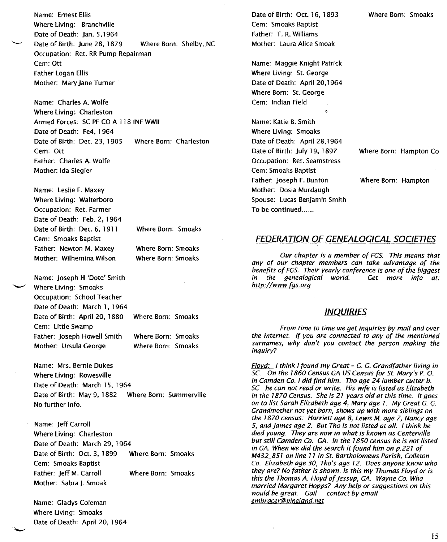Name: Ernest Ellis Where Living: Branchville Date of Death: Jan. 5,1964 Date of Birth: June 28, 1879 Where Born: Shelby, NC Occupation: Ret. RR Pump Repairman Cem: Ott Father Logan Ellis Mother: Mary Jane Turner

Name: Charles A. Wolfe Where Living: Charleston Armed Forces: SC PF CO A 118 INF WWII Date of Death: Fe4, 1964 Date of Birth: Dec. 23, 1905 Where Born: Charleston Cem: Ott Father: Charles A. Wolfe Mother: Ida Siegler

Name: Leslie F. Maxey Where Living: Walterboro Occupation: Ret. Farmer Date of Death: Feb. 2, 1964 Date of Birth: Dee. 6, 1911 Cem: Smoaks Baptist Father: Newton M. Maxey Mother: Wilhemina Wilson

Where Born: Smoaks

Where Born: Smoaks Where Born: Smoaks

Where Born: Smoaks Where Born: Smoaks Where Born: Smoaks Name: Joseph H 'Dote' Smith Where Living: Smoaks Occupation: School Teacher Date of Death: March 1, 1964 Date of Birth: April 20, 1880 Cem: Little Swamp Father: Joseph Howell Smith Mother: Ursula George

Name: Mrs. Bernie Dukes Where Living: Rowesville Date of Death: March 15, 1964 Date of Birth: May 9, 1882 Where Born: Summerville No further info.

Name: Jeff Carroll Where Living: Charleston Date of Death: March 29, 1964 Date of Birth: Oct. 3, 1899 Where Born: Smoaks Cem: Smoaks Baptist Father: Jeff M. Carroll Where Born: Smoaks Mother: Sabra J. Smoak

Name: Gladys Coleman Where Living: Smoaks Date of Death: April 20, 1964 Date of Birth: Oct. 16, 1893 Cem: Smoaks Baptist Father: T. R. Williams Mother: Laura Alice Smoak

Name: Maggie Knight Patrick Where Living: St. George Date of Death: April 20,1964 Where Born: St. George Cem: Indian Field

 $\ddot{\phantom{a}}$ 

Name: Katie B. Smith Where Living: Smoaks Date of Death: April 28,1964 Date of Birth: July 19, 1897 Occupation: Ret. Seamstress Cem: Smoaks Baptist Father: Joseph F. Bunton Mother: Dosia Murdaugh Spouse: Lucas Benjamin Smith To be continued......

Where Born: Hampton Co

Where Born: Hampton

## **FEDERAnON OF GENEALOGICAL SOCIETIES**

*Our chapter is a member of FGS. This means that any of our chapter members can take advantage of the benefits of FGS. Their yearly conference is one of the biggest in the genealogical world. http://wwwfas.ora*

## **INQUIRIES**

*From time to time we get inquiries by mail and over the internet If you are connected to any of the mentioned surnames, why don't you contact the person making the inquiry?*

*Flovd: I think I found my Great* - G. G. *Grandfather living in SC On the 1860 Census GA US Census for St Mary's P.* O. *in Camden Co. I did find him. Tho age* 24 *lumber cutter b. SC he can not read or write. His wife is listed as Elizabeth in the 1870 Census. She is* 21 *years old at this time. It goes on to list Sarah Elizabeth age* 4, *Mary age* 7. *My Great* G. G. *Grandmother not yet born, shows up with more siblings on the 7870 census: Harriett age* 8, *Lewis M. age* 7, *Nancy age 5, and James age* 2. *But Tho is not listed at all. I think he died young. They are now in what is known as Centerville but still Camden Co.* GA. *In the 7850 census he is not listed in* GA. *When we did the search it found him on p.227 of M432\_851 on line* 11 *in St Bartholomews Parish, Colleton Co. Elizabeth age 30, Tho's age* 12. *Does anyone know who they are? No father is shown. Is this my Thomas Floyd or is this the Thomas* A. *Floyd of Jessup,* GA. *Wayne Co. Who married Margaret Hopps? Any help or suggestions on this* would be great. Gail contact by email *embracer@fJineland.net*